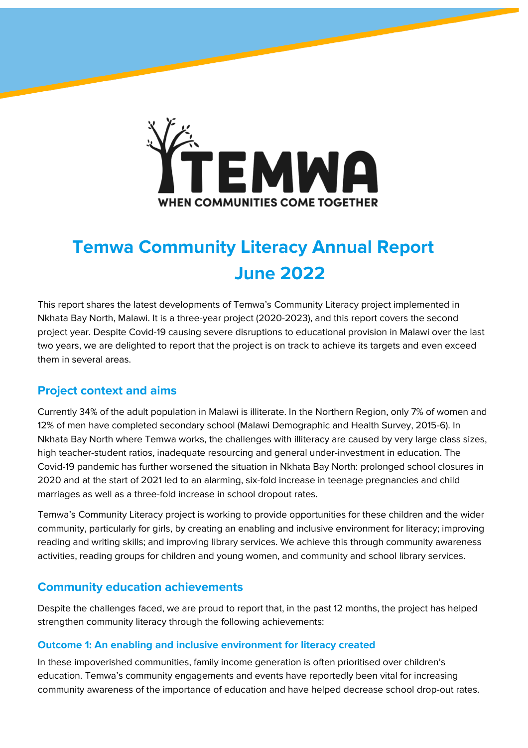

# **Temwa Community Literacy Annual Report June 2022**

This report shares the latest developments of Temwa's Community Literacy project implemented in Nkhata Bay North, Malawi. It is a three-year project (2020-2023), and this report covers the second project year. Despite Covid-19 causing severe disruptions to educational provision in Malawi over the last two years, we are delighted to report that the project is on track to achieve its targets and even exceed them in several areas.

## **Project context and aims**

Currently 34% of the adult population in Malawi is illiterate. In the Northern Region, only 7% of women and 12% of men have completed secondary school (Malawi Demographic and Health Survey, 2015-6). In Nkhata Bay North where Temwa works, the challenges with illiteracy are caused by very large class sizes, high teacher-student ratios, inadequate resourcing and general under-investment in education. The Covid-19 pandemic has further worsened the situation in Nkhata Bay North: prolonged school closures in 2020 and at the start of 2021 led to an alarming, six-fold increase in teenage pregnancies and child marriages as well as a three-fold increase in school dropout rates.

Temwa's Community Literacy project is working to provide opportunities for these children and the wider community, particularly for girls, by creating an enabling and inclusive environment for literacy; improving reading and writing skills; and improving library services. We achieve this through community awareness activities, reading groups for children and young women, and community and school library services.

# **Community education achievements**

Despite the challenges faced, we are proud to report that, in the past 12 months, the project has helped strengthen community literacy through the following achievements:

### **Outcome 1: An enabling and inclusive environment for literacy created**

In these impoverished communities, family income generation is often prioritised over children's education. Temwa's community engagements and events have reportedly been vital for increasing community awareness of the importance of education and have helped decrease school drop-out rates.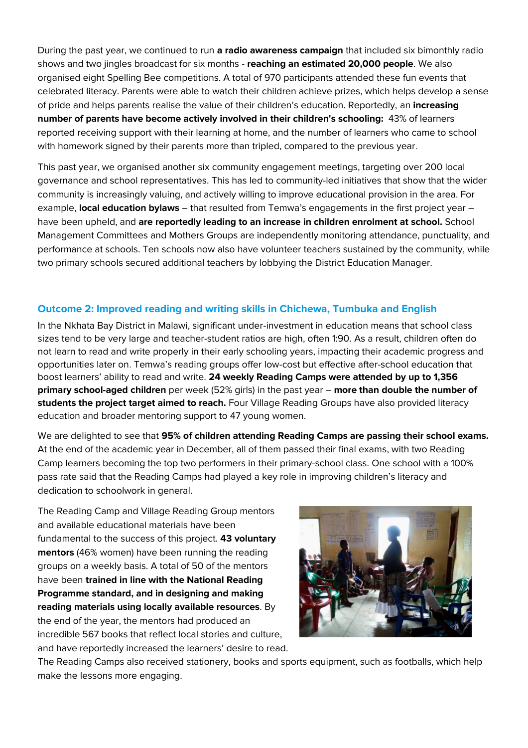During the past year, we continued to run **a radio awareness campaign** that included six bimonthly radio shows and two jingles broadcast for six months - **reaching an estimated 20,000 people**. We also organised eight Spelling Bee competitions. A total of 970 participants attended these fun events that celebrated literacy. Parents were able to watch their children achieve prizes, which helps develop a sense of pride and helps parents realise the value of their children's education. Reportedly, an **increasing number of parents have become actively involved in their children's schooling:** 43% of learners reported receiving support with their learning at home, and the number of learners who came to school with homework signed by their parents more than tripled, compared to the previous year.

This past year, we organised another six community engagement meetings, targeting over 200 local governance and school representatives. This has led to community-led initiatives that show that the wider community is increasingly valuing, and actively willing to improve educational provision in the area. For example, **local education bylaws** – that resulted from Temwa's engagements in the first project year – have been upheld, and **are reportedly leading to an increase in children enrolment at school.** School Management Committees and Mothers Groups are independently monitoring attendance, punctuality, and performance at schools. Ten schools now also have volunteer teachers sustained by the community, while two primary schools secured additional teachers by lobbying the District Education Manager.

#### **Outcome 2: Improved reading and writing skills in Chichewa, Tumbuka and English**

In the Nkhata Bay District in Malawi, significant under-investment in education means that school class sizes tend to be very large and teacher-student ratios are high, often 1:90. As a result, children often do not learn to read and write properly in their early schooling years, impacting their academic progress and opportunities later on. Temwa's reading groups offer low-cost but effective after-school education that boost learners' ability to read and write. **24 weekly Reading Camps were attended by up to 1,356 primary school-aged children** per week (52% girls) in the past year – **more than double the number of students the project target aimed to reach.** Four Village Reading Groups have also provided literacy education and broader mentoring support to 47 young women.

We are delighted to see that **95% of children attending Reading Camps are passing their school exams.**  At the end of the academic year in December, all of them passed their final exams, with two Reading Camp learners becoming the top two performers in their primary-school class. One school with a 100% pass rate said that the Reading Camps had played a key role in improving children's literacy and dedication to schoolwork in general.

The Reading Camp and Village Reading Group mentors and available educational materials have been fundamental to the success of this project. **43 voluntary mentors** (46% women) have been running the reading groups on a weekly basis. A total of 50 of the mentors have been **trained in line with the National Reading Programme standard, and in designing and making reading materials using locally available resources**. By the end of the year, the mentors had produced an incredible 567 books that reflect local stories and culture, and have reportedly increased the learners' desire to read.



The Reading Camps also received stationery, books and sports equipment, such as footballs, which help make the lessons more engaging.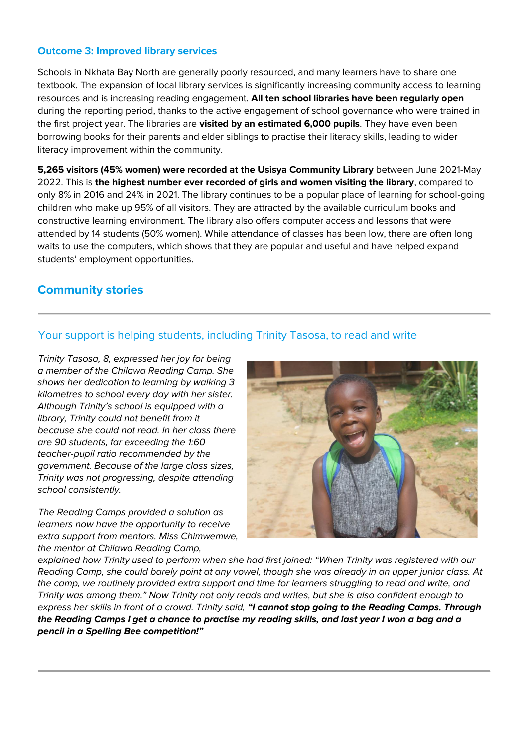#### **Outcome 3: Improved library services**

Schools in Nkhata Bay North are generally poorly resourced, and many learners have to share one textbook. The expansion of local library services is significantly increasing community access to learning resources and is increasing reading engagement. **All ten school libraries have been regularly open** during the reporting period, thanks to the active engagement of school governance who were trained in the first project year. The libraries are **visited by an estimated 6,000 pupils**. They have even been borrowing books for their parents and elder siblings to practise their literacy skills, leading to wider literacy improvement within the community.

**5,265 visitors (45% women) were recorded at the Usisya Community Library** between June 2021-May 2022. This is **the highest number ever recorded of girls and women visiting the library**, compared to only 8% in 2016 and 24% in 2021. The library continues to be a popular place of learning for school-going children who make up 95% of all visitors. They are attracted by the available curriculum books and constructive learning environment. The library also offers computer access and lessons that were attended by 14 students (50% women). While attendance of classes has been low, there are often long waits to use the computers, which shows that they are popular and useful and have helped expand students' employment opportunities.

## **Community stories**

## Your support is helping students, including Trinity Tasosa, to read and write

*Trinity Tasosa, 8, expressed her joy for being a member of the Chilawa Reading Camp. She shows her dedication to learning by walking 3 kilometres to school every day with her sister. Although Trinity's school is equipped with a library, Trinity could not benefit from it because she could not read. In her class there are 90 students, far exceeding the 1:60 teacher-pupil ratio recommended by the government. Because of the large class sizes, Trinity was not progressing, despite attending school consistently.*

*The Reading Camps provided a solution as learners now have the opportunity to receive extra support from mentors. Miss Chimwemwe, the mentor at Chilawa Reading Camp,* 



*explained how Trinity used to perform when she had first joined: "When Trinity was registered with our Reading Camp, she could barely point at any vowel, though she was already in an upper junior class. At the camp, we routinely provided extra support and time for learners struggling to read and write, and Trinity was among them." Now Trinity not only reads and writes, but she is also confident enough to express her skills in front of a crowd. Trinity said, "I cannot stop going to the Reading Camps. Through the Reading Camps I get a chance to practise my reading skills, and last year I won a bag and a pencil in a Spelling Bee competition!"*